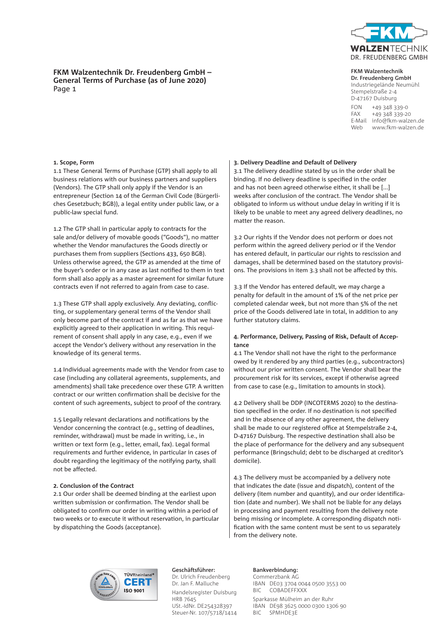

#### **FKM Walzentechnik**

**Dr. Freudenberg GmbH** Industriegelände Neumühl Stempelstraße 2-4 D-47167 Duisburg FON +49 348 339-0 FAX +49 348 339-20 E-Mail info@fkm-walzen.de Web www.fkm-walzen.de

**FKM Walzentechnik Dr. Freudenberg GmbH – General Terms of Purchase (as of June 2020)** Page 1

#### **1. Scope, Form**

1.1 These General Terms of Purchase (GTP) shall apply to all business relations with our business partners and suppliers (Vendors). The GTP shall only apply if the Vendor is an entrepreneur (Section 14 of the German Civil Code (Bürgerliches Gesetzbuch; BGB)), a legal entity under public law, or a public-law special fund.

1.2 The GTP shall in particular apply to contracts for the sale and/or delivery of movable goods ("Goods"), no matter whether the Vendor manufactures the Goods directly or purchases them from suppliers (Sections 433, 650 BGB). Unless otherwise agreed, the GTP as amended at the time of the buyer's order or in any case as last notified to them in text form shall also apply as a master agreement for similar future contracts even if not referred to again from case to case.

1.3 These GTP shall apply exclusively. Any deviating, conflicting, or supplementary general terms of the Vendor shall only become part of the contract if and as far as that we have explicitly agreed to their application in writing. This requirement of consent shall apply in any case, e.g., even if we accept the Vendor's delivery without any reservation in the knowledge of its general terms.

1.4 Individual agreements made with the Vendor from case to case (including any collateral agreements, supplements, and amendments) shall take precedence over these GTP. A written contract or our written confirmation shall be decisive for the content of such agreements, subject to proof of the contrary.

1.5 Legally relevant declarations and notifications by the Vendor concerning the contract (e.g., setting of deadlines, reminder, withdrawal) must be made in writing, i.e., in written or text form (e.g., letter, email, fax). Legal formal requirements and further evidence, in particular in cases of doubt regarding the legitimacy of the notifying party, shall not be affected.

#### **2. Conclusion of the Contract**

2.1 Our order shall be deemed binding at the earliest upon written submission or confirmation. The Vendor shall be obligated to confirm our order in writing within a period of two weeks or to execute it without reservation, in particular by dispatching the Goods (acceptance).

### **3. Delivery Deadline and Default of Delivery**

3.1 The delivery deadline stated by us in the order shall be binding. If no delivery deadline is specified in the order and has not been agreed otherwise either, it shall be [...] weeks after conclusion of the contract. The Vendor shall be obligated to inform us without undue delay in writing if it is likely to be unable to meet any agreed delivery deadlines, no matter the reason.

3.2 Our rights if the Vendor does not perform or does not perform within the agreed delivery period or if the Vendor has entered default, in particular our rights to rescission and damages, shall be determined based on the statutory provisions. The provisions in item 3.3 shall not be affected by this.

3.3 If the Vendor has entered default, we may charge a penalty for default in the amount of 1% of the net price per completed calendar week, but not more than 5% of the net price of the Goods delivered late in total, in addition to any further statutory claims.

# **4. Performance, Delivery, Passing of Risk, Default of Acceptance**

4.1 The Vendor shall not have the right to the performance owed by it rendered by any third parties (e.g., subcontractors) without our prior written consent. The Vendor shall bear the procurement risk for its services, except if otherwise agreed from case to case (e.g., limitation to amounts in stock).

4.2 Delivery shall be DDP (INCOTERMS 2020) to the destination specified in the order. If no destination is not specified and in the absence of any other agreement, the delivery shall be made to our registered office at Stempelstraße 2-4, D-47167 Duisburg. The respective destination shall also be the place of performance for the delivery and any subsequent performance (Bringschuld; debt to be discharged at creditor's domicile).

4.3 The delivery must be accompanied by a delivery note that indicates the date (issue and dispatch), content of the delivery (item number and quantity), and our order identification (date and number). We shall not be liable for any delays in processing and payment resulting from the delivery note being missing or incomplete. A corresponding dispatch notification with the same content must be sent to us separately from the delivery note.



**Geschäftsführer:** Dr. Ulrich Freudenberg Dr. Jan F. Malluche Handelsregister Duisburg HRB 7645 USt.-IdNr. DE254328397 Steuer-Nr. 107/5718/1414

#### **Bankverbindung:**

Commerzbank AG IBAN DE03 3704 0044 0500 3553 00 BIC COBADEFFXXX Sparkasse Mülheim an der Ruhr IBAN DE98 3625 0000 0300 1306 90 BIC SPMHDE3E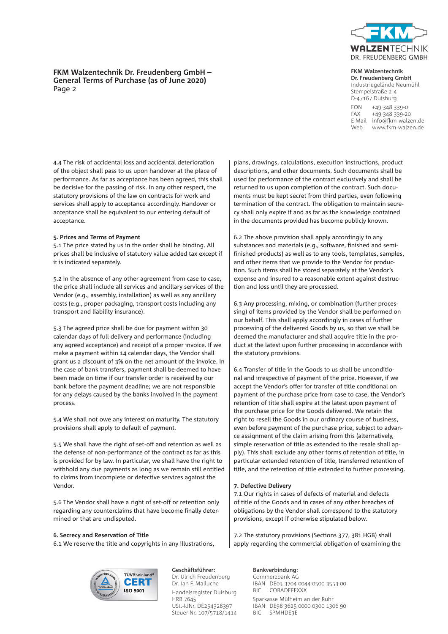

# **FKM Walzentechnik Dr. Freudenberg GmbH – General Terms of Purchase (as of June 2020)** Page 2

#### **FKM Walzentechnik Dr. Freudenberg GmbH**

Industriegelände Neumühl Stempelstraße 2-4 D-47167 Duisburg FON +49 348 339-0 FAX +49 348 339-20 E-Mail info@fkm-walzen.de Web www.fkm-walzen.de

4.4 The risk of accidental loss and accidental deterioration of the object shall pass to us upon handover at the place of performance. As far as acceptance has been agreed, this shall be decisive for the passing of risk. In any other respect, the statutory provisions of the law on contracts for work and services shall apply to acceptance accordingly. Handover or acceptance shall be equivalent to our entering default of acceptance.

# **5. Prices and Terms of Payment**

5.1 The price stated by us in the order shall be binding. All prices shall be inclusive of statutory value added tax except if it is indicated separately.

5.2 In the absence of any other agreement from case to case, the price shall include all services and ancillary services of the Vendor (e.g., assembly, installation) as well as any ancillary costs (e.g., proper packaging, transport costs including any transport and liability insurance).

5.3 The agreed price shall be due for payment within 30 calendar days of full delivery and performance (including any agreed acceptance) and receipt of a proper invoice. If we make a payment within 14 calendar days, the Vendor shall grant us a discount of 3% on the net amount of the invoice. In the case of bank transfers, payment shall be deemed to have been made on time if our transfer order is received by our bank before the payment deadline; we are not responsible for any delays caused by the banks involved in the payment process.

5.4 We shall not owe any interest on maturity. The statutory provisions shall apply to default of payment.

5.5 We shall have the right of set-off and retention as well as the defense of non-performance of the contract as far as this is provided for by law. In particular, we shall have the right to withhold any due payments as long as we remain still entitled to claims from incomplete or defective services against the Vendor.

5.6 The Vendor shall have a right of set-off or retention only regarding any counterclaims that have become finally determined or that are undisputed.

### **6. Secrecy and Reservation of Title**

6.1 We reserve the title and copyrights in any illustrations,

plans, drawings, calculations, execution instructions, product descriptions, and other documents. Such documents shall be used for performance of the contract exclusively and shall be returned to us upon completion of the contract. Such documents must be kept secret from third parties, even following termination of the contract. The obligation to maintain secrecy shall only expire if and as far as the knowledge contained in the documents provided has become publicly known.

6.2 The above provision shall apply accordingly to any substances and materials (e.g., software, finished and semifinished products) as well as to any tools, templates, samples, and other items that we provide to the Vendor for production. Such items shall be stored separately at the Vendor's expense and insured to a reasonable extent against destruction and loss until they are processed.

6.3 Any processing, mixing, or combination (further processing) of items provided by the Vendor shall be performed on our behalf. This shall apply accordingly in cases of further processing of the delivered Goods by us, so that we shall be deemed the manufacturer and shall acquire title in the product at the latest upon further processing in accordance with the statutory provisions.

6.4 Transfer of title in the Goods to us shall be unconditional and irrespective of payment of the price. However, if we accept the Vendor's offer for transfer of title conditional on payment of the purchase price from case to case, the Vendor's retention of title shall expire at the latest upon payment of the purchase price for the Goods delivered. We retain the right to resell the Goods in our ordinary course of business, even before payment of the purchase price, subject to advance assignment of the claim arising from this (alternatively, simple reservation of title as extended to the resale shall apply). This shall exclude any other forms of retention of title, in particular extended retention of title, transferred retention of title, and the retention of title extended to further processing.

# **7. Defective Delivery**

7.1 Our rights in cases of defects of material and defects of title of the Goods and in cases of any other breaches of obligations by the Vendor shall correspond to the statutory provisions, except if otherwise stipulated below.

7.2 The statutory provisions (Sections 377, 381 HGB) shall apply regarding the commercial obligation of examining the



**Geschäftsführer:** Dr. Ulrich Freudenberg Dr. Jan F. Malluche Handelsregister Duisburg HRB 7645 USt.-IdNr. DE254328397 Steuer-Nr. 107/5718/1414

# **Bankverbindung:**

Commerzbank AG IBAN DE03 3704 0044 0500 3553 00 BIC COBADEFFXXX Sparkasse Mülheim an der Ruhr IBAN DE98 3625 0000 0300 1306 90 BIC SPMHDE3E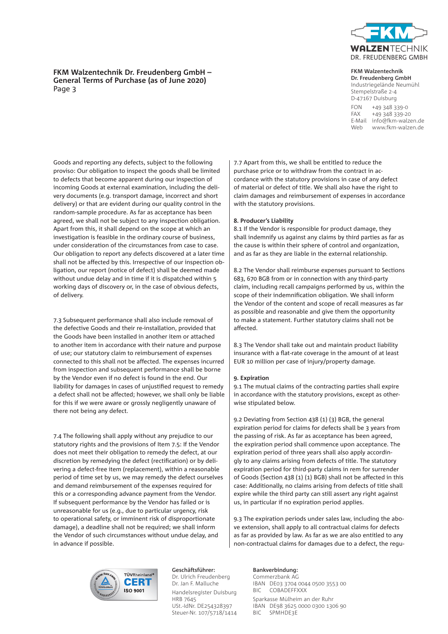

# **FKM Walzentechnik Dr. Freudenberg GmbH – General Terms of Purchase (as of June 2020)** Page 3

**FKM Walzentechnik** 

**Dr. Freudenberg GmbH** Industriegelände Neumühl Stempelstraße 2-4 D-47167 Duisburg FON +49 348 339-0 FAX +49 348 339-20 E-Mail info@fkm-walzen.de Web www.fkm-walzen.de

Goods and reporting any defects, subject to the following proviso: Our obligation to inspect the goods shall be limited to defects that become apparent during our inspection of incoming Goods at external examination, including the delivery documents (e.g. transport damage, incorrect and short delivery) or that are evident during our quality control in the random-sample procedure. As far as acceptance has been agreed, we shall not be subject to any inspection obligation. Apart from this, it shall depend on the scope at which an investigation is feasible in the ordinary course of business, under consideration of the circumstances from case to case. Our obligation to report any defects discovered at a later time shall not be affected by this. Irrespective of our inspection obligation, our report (notice of defect) shall be deemed made without undue delay and in time if it is dispatched within 5 working days of discovery or, in the case of obvious defects, of delivery.

7.3 Subsequent performance shall also include removal of the defective Goods and their re-installation, provided that the Goods have been installed in another item or attached to another item in accordance with their nature and purpose of use; our statutory claim to reimbursement of expenses connected to this shall not be affected. The expenses incurred from inspection and subsequent performance shall be borne by the Vendor even if no defect is found in the end. Our liability for damages in cases of unjustified request to remedy a defect shall not be affected; however, we shall only be liable for this if we were aware or grossly negligently unaware of there not being any defect.

7.4 The following shall apply without any prejudice to our statutory rights and the provisions of Item 7.5: If the Vendor does not meet their obligation to remedy the defect, at our discretion by remedying the defect (rectification) or by delivering a defect-free item (replacement), within a reasonable period of time set by us, we may remedy the defect ourselves and demand reimbursement of the expenses required for this or a corresponding advance payment from the Vendor. If subsequent performance by the Vendor has failed or is unreasonable for us (e.g., due to particular urgency, risk to operational safety, or imminent risk of disproportionate damage), a deadline shall not be required; we shall inform the Vendor of such circumstances without undue delay, and in advance if possible.

7.7 Apart from this, we shall be entitled to reduce the purchase price or to withdraw from the contract in accordance with the statutory provisions in case of any defect of material or defect of title. We shall also have the right to claim damages and reimbursement of expenses in accordance with the statutory provisions.

#### **8. Producer's Liability**

8.1 If the Vendor is responsible for product damage, they shall indemnify us against any claims by third parties as far as the cause is within their sphere of control and organization, and as far as they are liable in the external relationship.

8.2 The Vendor shall reimburse expenses pursuant to Sections 683, 670 BGB from or in connection with any third-party claim, including recall campaigns performed by us, within the scope of their indemnification obligation. We shall inform the Vendor of the content and scope of recall measures as far as possible and reasonable and give them the opportunity to make a statement. Further statutory claims shall not be affected.

8.3 The Vendor shall take out and maintain product liability insurance with a flat-rate coverage in the amount of at least EUR 10 million per case of injury/property damage.

# **9. Expiration**

9.1 The mutual claims of the contracting parties shall expire in accordance with the statutory provisions, except as otherwise stipulated below.

9.2 Deviating from Section 438 (1) (3) BGB, the general expiration period for claims for defects shall be 3 years from the passing of risk. As far as acceptance has been agreed, the expiration period shall commence upon acceptance. The expiration period of three years shall also apply accordingly to any claims arising from defects of title. The statutory expiration period for third-party claims in rem for surrender of Goods (Section 438 (1) (1) BGB) shall not be affected in this case: Additionally, no claims arising from defects of title shall expire while the third party can still assert any right against us, in particular if no expiration period applies.

9.3 The expiration periods under sales law, including the above extension, shall apply to all contractual claims for defects as far as provided by law. As far as we are also entitled to any non-contractual claims for damages due to a defect, the regu-



**Geschäftsführer:** Dr. Ulrich Freudenberg Dr. Jan F. Malluche Handelsregister Duisburg HRB 7645 USt.-IdNr. DE254328397 Steuer-Nr. 107/5718/1414

#### **Bankverbindung:**

Commerzbank AG IBAN DE03 3704 0044 0500 3553 00 BIC COBADEFFXXX Sparkasse Mülheim an der Ruhr IBAN DE98 3625 0000 0300 1306 90 BIC SPMHDE3E